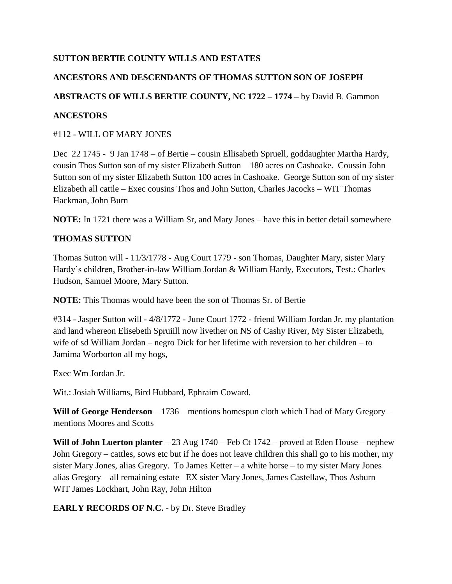# **SUTTON BERTIE COUNTY WILLS AND ESTATES**

# **ANCESTORS AND DESCENDANTS OF THOMAS SUTTON SON OF JOSEPH**

## **ABSTRACTS OF WILLS BERTIE COUNTY, NC 1722 – 1774 –** by David B. Gammon

## **ANCESTORS**

## #112 - WILL OF MARY JONES

Dec 22 1745 - 9 Jan 1748 – of Bertie – cousin Ellisabeth Spruell, goddaughter Martha Hardy, cousin Thos Sutton son of my sister Elizabeth Sutton – 180 acres on Cashoake. Coussin John Sutton son of my sister Elizabeth Sutton 100 acres in Cashoake. George Sutton son of my sister Elizabeth all cattle – Exec cousins Thos and John Sutton, Charles Jacocks – WIT Thomas Hackman, John Burn

**NOTE:** In 1721 there was a William Sr, and Mary Jones – have this in better detail somewhere

## **THOMAS SUTTON**

Thomas Sutton will - 11/3/1778 - Aug Court 1779 - son Thomas, Daughter Mary, sister Mary Hardy's children, Brother-in-law William Jordan & William Hardy, Executors, Test.: Charles Hudson, Samuel Moore, Mary Sutton.

**NOTE:** This Thomas would have been the son of Thomas Sr. of Bertie

#314 - Jasper Sutton will - 4/8/1772 - June Court 1772 - friend William Jordan Jr. my plantation and land whereon Elisebeth Spruiill now livether on NS of Cashy River, My Sister Elizabeth, wife of sd William Jordan – negro Dick for her lifetime with reversion to her children – to Jamima Worborton all my hogs,

Exec Wm Jordan Jr.

Wit.: Josiah Williams, Bird Hubbard, Ephraim Coward.

**Will of George Henderson** – 1736 – mentions homespun cloth which I had of Mary Gregory – mentions Moores and Scotts

**Will of John Luerton planter** – 23 Aug 1740 – Feb Ct 1742 – proved at Eden House – nephew John Gregory – cattles, sows etc but if he does not leave children this shall go to his mother, my sister Mary Jones, alias Gregory. To James Ketter – a white horse – to my sister Mary Jones alias Gregory – all remaining estate EX sister Mary Jones, James Castellaw, Thos Asburn WIT James Lockhart, John Ray, John Hilton

**EARLY RECORDS OF N.C.** - by Dr. Steve Bradley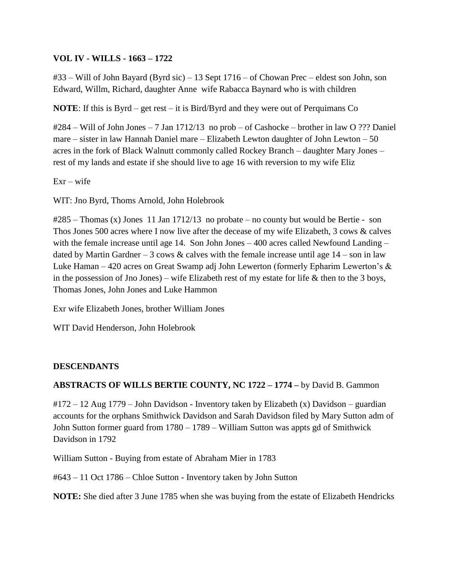## **VOL IV - WILLS - 1663 – 1722**

#33 – Will of John Bayard (Byrd sic) – 13 Sept 1716 – of Chowan Prec – eldest son John, son Edward, Willm, Richard, daughter Anne wife Rabacca Baynard who is with children

**NOTE**: If this is Byrd – get rest – it is Bird/Byrd and they were out of Perquimans Co

#284 – Will of John Jones – 7 Jan 1712/13 no prob – of Cashocke – brother in law O ??? Daniel mare – sister in law Hannah Daniel mare – Elizabeth Lewton daughter of John Lewton – 50 acres in the fork of Black Walnutt commonly called Rockey Branch – daughter Mary Jones – rest of my lands and estate if she should live to age 16 with reversion to my wife Eliz

 $Exr - wife$ 

WIT: Jno Byrd, Thoms Arnold, John Holebrook

#285 – Thomas (x) Jones 11 Jan 1712/13 no probate – no county but would be Bertie - son Thos Jones 500 acres where I now live after the decease of my wife Elizabeth, 3 cows & calves with the female increase until age 14. Son John Jones – 400 acres called Newfound Landing – dated by Martin Gardner – 3 cows  $\&$  calves with the female increase until age 14 – son in law Luke Haman – 420 acres on Great Swamp adj John Lewerton (formerly Epharim Lewerton's & in the possession of Jno Jones) – wife Elizabeth rest of my estate for life  $\&$  then to the 3 boys, Thomas Jones, John Jones and Luke Hammon

Exr wife Elizabeth Jones, brother William Jones

WIT David Henderson, John Holebrook

## **DESCENDANTS**

## **ABSTRACTS OF WILLS BERTIE COUNTY, NC 1722 – 1774 –** by David B. Gammon

#172 – 12 Aug 1779 – John Davidson - Inventory taken by Elizabeth (x) Davidson – guardian accounts for the orphans Smithwick Davidson and Sarah Davidson filed by Mary Sutton adm of John Sutton former guard from 1780 – 1789 – William Sutton was appts gd of Smithwick Davidson in 1792

William Sutton - Buying from estate of Abraham Mier in 1783

#643 – 11 Oct 1786 – Chloe Sutton - Inventory taken by John Sutton

**NOTE:** She died after 3 June 1785 when she was buying from the estate of Elizabeth Hendricks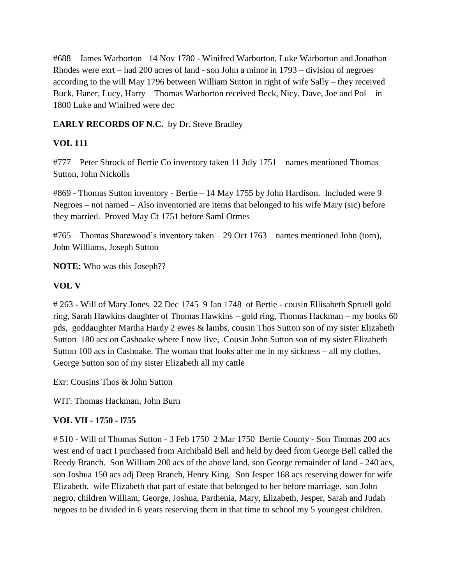#688 – James Warborton –14 Nov 1780 - Winifred Warborton, Luke Warborton and Jonathan Rhodes were exrt – had 200 acres of land - son John a minor in 1793 – division of negroes according to the will May 1796 between William Sutton in right of wife Sally – they received Buck, Haner, Lucy, Harry – Thomas Warborton received Beck, Nicy, Dave, Joe and Pol – in 1800 Luke and Winifred were dec

# **EARLY RECORDS OF N.C.** by Dr. Steve Bradley

# **VOL 111**

#777 – Peter Shrock of Bertie Co inventory taken 11 July 1751 – names mentioned Thomas Sutton, John Nickolls

#869 - Thomas Sutton inventory - Bertie – 14 May 1755 by John Hardison. Included were 9 Negroes – not named – Also inventoried are items that belonged to his wife Mary (sic) before they married. Proved May Ct 1751 before Saml Ormes

#765 – Thomas Sharewood's inventory taken – 29 Oct 1763 – names mentioned John (torn), John Williams, Joseph Sutton

**NOTE:** Who was this Joseph??

# **VOL V**

# 263 - Will of Mary Jones 22 Dec 1745 9 Jan 1748 of Bertie - cousin Ellisabeth Spruell gold ring, Sarah Hawkins daughter of Thomas Hawkins – gold ring, Thomas Hackman – my books 60 pds, goddaughter Martha Hardy 2 ewes & lambs, cousin Thos Sutton son of my sister Elizabeth Sutton 180 acs on Cashoake where I now live, Cousin John Sutton son of my sister Elizabeth Sutton 100 acs in Cashoake. The woman that looks after me in my sickness – all my clothes, George Sutton son of my sister Elizabeth all my cattle

Exr: Cousins Thos & John Sutton

WIT: Thomas Hackman, John Burn

# **VOL VII - 1750 - l755**

# 510 - Will of Thomas Sutton - 3 Feb 1750 2 Mar 1750 Bertie County - Son Thomas 200 acs west end of tract I purchased from Archibald Bell and held by deed from George Bell called the Reedy Branch. Son William 200 acs of the above land, son George remainder of land - 240 acs, son Joshua 150 acs adj Deep Branch, Henry King. Son Jesper 168 acs reserving dower for wife Elizabeth. wife Elizabeth that part of estate that belonged to her before marriage. son John negro, children William, George, Joshua, Parthenia, Mary, Elizabeth, Jesper, Sarah and Judah negoes to be divided in 6 years reserving them in that time to school my 5 youngest children.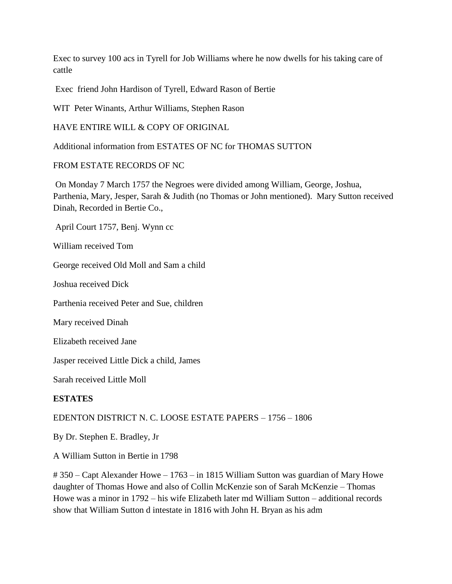Exec to survey 100 acs in Tyrell for Job Williams where he now dwells for his taking care of cattle

Exec friend John Hardison of Tyrell, Edward Rason of Bertie

WIT Peter Winants, Arthur Williams, Stephen Rason

HAVE ENTIRE WILL & COPY OF ORIGINAL

Additional information from ESTATES OF NC for THOMAS SUTTON

## FROM ESTATE RECORDS OF NC

On Monday 7 March 1757 the Negroes were divided among William, George, Joshua, Parthenia, Mary, Jesper, Sarah & Judith (no Thomas or John mentioned). Mary Sutton received Dinah, Recorded in Bertie Co.,

April Court 1757, Benj. Wynn cc

William received Tom

George received Old Moll and Sam a child

Joshua received Dick

Parthenia received Peter and Sue, children

Mary received Dinah

Elizabeth received Jane

Jasper received Little Dick a child, James

Sarah received Little Moll

## **ESTATES**

# EDENTON DISTRICT N. C. LOOSE ESTATE PAPERS – 1756 – 1806

By Dr. Stephen E. Bradley, Jr

A William Sutton in Bertie in 1798

# 350 – Capt Alexander Howe – 1763 – in 1815 William Sutton was guardian of Mary Howe daughter of Thomas Howe and also of Collin McKenzie son of Sarah McKenzie – Thomas Howe was a minor in 1792 – his wife Elizabeth later md William Sutton – additional records show that William Sutton d intestate in 1816 with John H. Bryan as his adm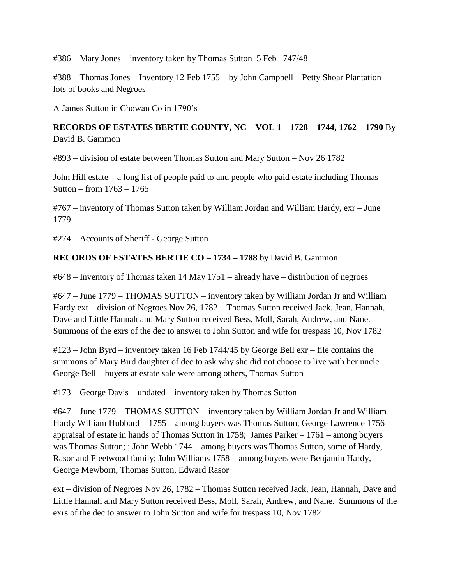#386 – Mary Jones – inventory taken by Thomas Sutton 5 Feb 1747/48

#388 – Thomas Jones – Inventory 12 Feb 1755 – by John Campbell – Petty Shoar Plantation – lots of books and Negroes

A James Sutton in Chowan Co in 1790's

# **RECORDS OF ESTATES BERTIE COUNTY, NC – VOL 1 – 1728 – 1744, 1762 – 1790** By David B. Gammon

#893 – division of estate between Thomas Sutton and Mary Sutton – Nov 26 1782

John Hill estate – a long list of people paid to and people who paid estate including Thomas Sutton – from 1763 – 1765

#767 – inventory of Thomas Sutton taken by William Jordan and William Hardy, exr – June 1779

#274 – Accounts of Sheriff - George Sutton

#### **RECORDS OF ESTATES BERTIE CO – 1734 – 1788** by David B. Gammon

#648 – Inventory of Thomas taken 14 May 1751 – already have – distribution of negroes

#647 – June 1779 – THOMAS SUTTON – inventory taken by William Jordan Jr and William Hardy ext – division of Negroes Nov 26, 1782 – Thomas Sutton received Jack, Jean, Hannah, Dave and Little Hannah and Mary Sutton received Bess, Moll, Sarah, Andrew, and Nane. Summons of the exrs of the dec to answer to John Sutton and wife for trespass 10, Nov 1782

#123 – John Byrd – inventory taken 16 Feb 1744/45 by George Bell exr – file contains the summons of Mary Bird daughter of dec to ask why she did not choose to live with her uncle George Bell – buyers at estate sale were among others, Thomas Sutton

#173 – George Davis – undated – inventory taken by Thomas Sutton

#647 – June 1779 – THOMAS SUTTON – inventory taken by William Jordan Jr and William Hardy William Hubbard – 1755 – among buyers was Thomas Sutton, George Lawrence 1756 – appraisal of estate in hands of Thomas Sutton in 1758; James Parker – 1761 – among buyers was Thomas Sutton; ; John Webb 1744 – among buyers was Thomas Sutton, some of Hardy, Rasor and Fleetwood family; John Williams 1758 – among buyers were Benjamin Hardy, George Mewborn, Thomas Sutton, Edward Rasor

ext – division of Negroes Nov 26, 1782 – Thomas Sutton received Jack, Jean, Hannah, Dave and Little Hannah and Mary Sutton received Bess, Moll, Sarah, Andrew, and Nane. Summons of the exrs of the dec to answer to John Sutton and wife for trespass 10, Nov 1782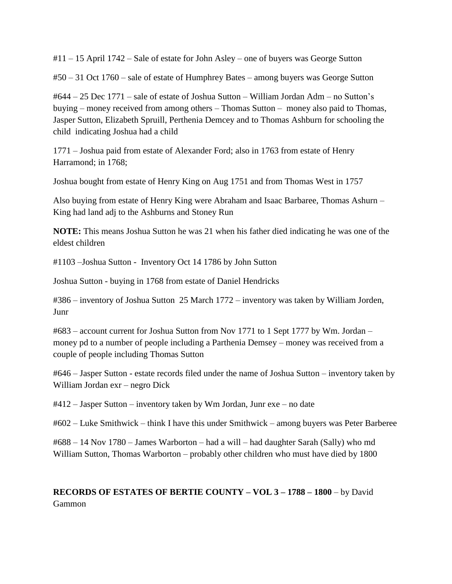#11 – 15 April 1742 – Sale of estate for John Asley – one of buyers was George Sutton

#50 – 31 Oct 1760 – sale of estate of Humphrey Bates – among buyers was George Sutton

#644 – 25 Dec 1771 – sale of estate of Joshua Sutton – William Jordan Adm – no Sutton's buying – money received from among others – Thomas Sutton – money also paid to Thomas, Jasper Sutton, Elizabeth Spruill, Perthenia Demcey and to Thomas Ashburn for schooling the child indicating Joshua had a child

1771 – Joshua paid from estate of Alexander Ford; also in 1763 from estate of Henry Harramond; in 1768;

Joshua bought from estate of Henry King on Aug 1751 and from Thomas West in 1757

Also buying from estate of Henry King were Abraham and Isaac Barbaree, Thomas Ashurn – King had land adj to the Ashburns and Stoney Run

**NOTE:** This means Joshua Sutton he was 21 when his father died indicating he was one of the eldest children

#1103 –Joshua Sutton - Inventory Oct 14 1786 by John Sutton

Joshua Sutton - buying in 1768 from estate of Daniel Hendricks

#386 – inventory of Joshua Sutton 25 March 1772 – inventory was taken by William Jorden, Junr

#683 – account current for Joshua Sutton from Nov 1771 to 1 Sept 1777 by Wm. Jordan – money pd to a number of people including a Parthenia Demsey – money was received from a couple of people including Thomas Sutton

#646 – Jasper Sutton - estate records filed under the name of Joshua Sutton – inventory taken by William Jordan exr – negro Dick

#412 – Jasper Sutton – inventory taken by Wm Jordan, Junr exe – no date

#602 – Luke Smithwick – think I have this under Smithwick – among buyers was Peter Barberee

#688 – 14 Nov 1780 – James Warborton – had a will – had daughter Sarah (Sally) who md William Sutton, Thomas Warborton – probably other children who must have died by 1800

# **RECORDS OF ESTATES OF BERTIE COUNTY – VOL 3 – 1788 – 1800** – by David Gammon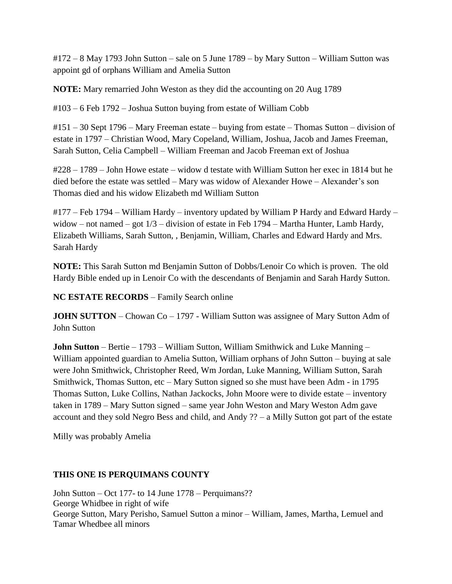#172 – 8 May 1793 John Sutton – sale on 5 June 1789 – by Mary Sutton – William Sutton was appoint gd of orphans William and Amelia Sutton

**NOTE:** Mary remarried John Weston as they did the accounting on 20 Aug 1789

#103 – 6 Feb 1792 – Joshua Sutton buying from estate of William Cobb

#151 – 30 Sept 1796 – Mary Freeman estate – buying from estate – Thomas Sutton – division of estate in 1797 – Christian Wood, Mary Copeland, William, Joshua, Jacob and James Freeman, Sarah Sutton, Celia Campbell – William Freeman and Jacob Freeman ext of Joshua

#228 – 1789 – John Howe estate – widow d testate with William Sutton her exec in 1814 but he died before the estate was settled – Mary was widow of Alexander Howe – Alexander's son Thomas died and his widow Elizabeth md William Sutton

#177 – Feb 1794 – William Hardy – inventory updated by William P Hardy and Edward Hardy – widow – not named – got 1/3 – division of estate in Feb 1794 – Martha Hunter, Lamb Hardy, Elizabeth Williams, Sarah Sutton, , Benjamin, William, Charles and Edward Hardy and Mrs. Sarah Hardy

**NOTE:** This Sarah Sutton md Benjamin Sutton of Dobbs/Lenoir Co which is proven. The old Hardy Bible ended up in Lenoir Co with the descendants of Benjamin and Sarah Hardy Sutton.

**NC ESTATE RECORDS** – Family Search online

**JOHN SUTTON** – Chowan Co – 1797 - William Sutton was assignee of Mary Sutton Adm of John Sutton

**John Sutton** – Bertie – 1793 – William Sutton, William Smithwick and Luke Manning – William appointed guardian to Amelia Sutton, William orphans of John Sutton – buying at sale were John Smithwick, Christopher Reed, Wm Jordan, Luke Manning, William Sutton, Sarah Smithwick, Thomas Sutton, etc – Mary Sutton signed so she must have been Adm - in 1795 Thomas Sutton, Luke Collins, Nathan Jackocks, John Moore were to divide estate – inventory taken in 1789 – Mary Sutton signed – same year John Weston and Mary Weston Adm gave account and they sold Negro Bess and child, and Andy ?? – a Milly Sutton got part of the estate

Milly was probably Amelia

# **THIS ONE IS PERQUIMANS COUNTY**

John Sutton – Oct 177- to 14 June 1778 – Perquimans?? George Whidbee in right of wife George Sutton, Mary Perisho, Samuel Sutton a minor – William, James, Martha, Lemuel and Tamar Whedbee all minors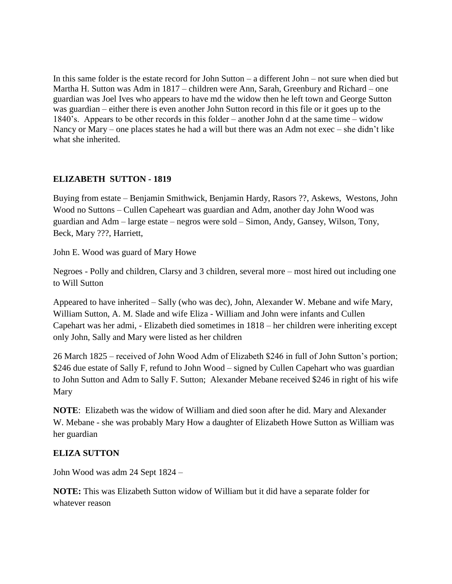In this same folder is the estate record for John Sutton – a different John – not sure when died but Martha H. Sutton was Adm in 1817 – children were Ann, Sarah, Greenbury and Richard – one guardian was Joel Ives who appears to have md the widow then he left town and George Sutton was guardian – either there is even another John Sutton record in this file or it goes up to the 1840's. Appears to be other records in this folder – another John d at the same time – widow Nancy or Mary – one places states he had a will but there was an Adm not exec – she didn't like what she inherited.

## **ELIZABETH SUTTON - 1819**

Buying from estate – Benjamin Smithwick, Benjamin Hardy, Rasors ??, Askews, Westons, John Wood no Suttons – Cullen Capeheart was guardian and Adm, another day John Wood was guardian and Adm – large estate – negros were sold – Simon, Andy, Gansey, Wilson, Tony, Beck, Mary ???, Harriett,

John E. Wood was guard of Mary Howe

Negroes - Polly and children, Clarsy and 3 children, several more – most hired out including one to Will Sutton

Appeared to have inherited – Sally (who was dec), John, Alexander W. Mebane and wife Mary, William Sutton, A. M. Slade and wife Eliza - William and John were infants and Cullen Capehart was her admi, - Elizabeth died sometimes in 1818 – her children were inheriting except only John, Sally and Mary were listed as her children

26 March 1825 – received of John Wood Adm of Elizabeth \$246 in full of John Sutton's portion; \$246 due estate of Sally F, refund to John Wood – signed by Cullen Capehart who was guardian to John Sutton and Adm to Sally F. Sutton; Alexander Mebane received \$246 in right of his wife Mary

**NOTE**: Elizabeth was the widow of William and died soon after he did. Mary and Alexander W. Mebane - she was probably Mary How a daughter of Elizabeth Howe Sutton as William was her guardian

## **ELIZA SUTTON**

John Wood was adm 24 Sept 1824 –

**NOTE:** This was Elizabeth Sutton widow of William but it did have a separate folder for whatever reason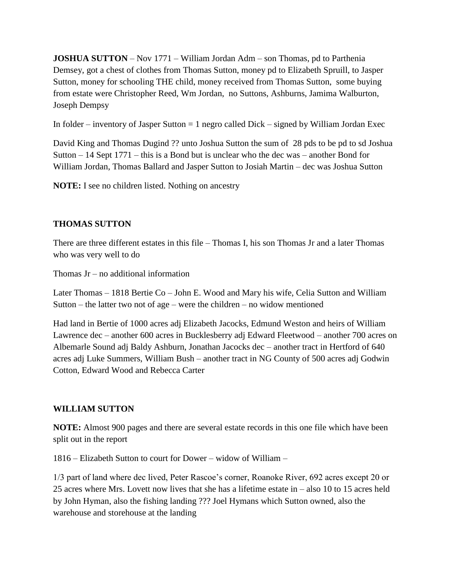**JOSHUA SUTTON** – Nov 1771 – William Jordan Adm – son Thomas, pd to Parthenia Demsey, got a chest of clothes from Thomas Sutton, money pd to Elizabeth Spruill, to Jasper Sutton, money for schooling THE child, money received from Thomas Sutton, some buying from estate were Christopher Reed, Wm Jordan, no Suttons, Ashburns, Jamima Walburton, Joseph Dempsy

In folder – inventory of Jasper Sutton  $= 1$  negro called Dick – signed by William Jordan Exec

David King and Thomas Dugind ?? unto Joshua Sutton the sum of 28 pds to be pd to sd Joshua Sutton – 14 Sept 1771 – this is a Bond but is unclear who the dec was – another Bond for William Jordan, Thomas Ballard and Jasper Sutton to Josiah Martin – dec was Joshua Sutton

**NOTE:** I see no children listed. Nothing on ancestry

#### **THOMAS SUTTON**

There are three different estates in this file – Thomas I, his son Thomas Jr and a later Thomas who was very well to do

Thomas Jr – no additional information

Later Thomas – 1818 Bertie Co – John E. Wood and Mary his wife, Celia Sutton and William Sutton – the latter two not of age – were the children – no widow mentioned

Had land in Bertie of 1000 acres adj Elizabeth Jacocks, Edmund Weston and heirs of William Lawrence dec – another 600 acres in Bucklesberry adj Edward Fleetwood – another 700 acres on Albemarle Sound adj Baldy Ashburn, Jonathan Jacocks dec – another tract in Hertford of 640 acres adj Luke Summers, William Bush – another tract in NG County of 500 acres adj Godwin Cotton, Edward Wood and Rebecca Carter

## **WILLIAM SUTTON**

**NOTE:** Almost 900 pages and there are several estate records in this one file which have been split out in the report

1816 – Elizabeth Sutton to court for Dower – widow of William –

1/3 part of land where dec lived, Peter Rascoe's corner, Roanoke River, 692 acres except 20 or 25 acres where Mrs. Lovett now lives that she has a lifetime estate in – also 10 to 15 acres held by John Hyman, also the fishing landing ??? Joel Hymans which Sutton owned, also the warehouse and storehouse at the landing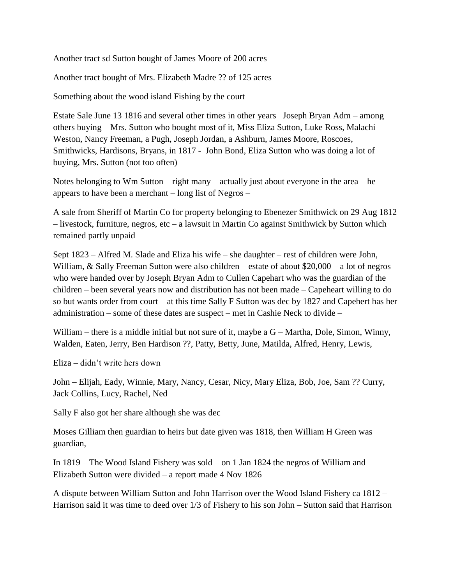Another tract sd Sutton bought of James Moore of 200 acres

Another tract bought of Mrs. Elizabeth Madre ?? of 125 acres

Something about the wood island Fishing by the court

Estate Sale June 13 1816 and several other times in other years Joseph Bryan Adm – among others buying – Mrs. Sutton who bought most of it, Miss Eliza Sutton, Luke Ross, Malachi Weston, Nancy Freeman, a Pugh, Joseph Jordan, a Ashburn, James Moore, Roscoes, Smithwicks, Hardisons, Bryans, in 1817 - John Bond, Eliza Sutton who was doing a lot of buying, Mrs. Sutton (not too often)

Notes belonging to Wm Sutton – right many – actually just about everyone in the area – he appears to have been a merchant – long list of Negros –

A sale from Sheriff of Martin Co for property belonging to Ebenezer Smithwick on 29 Aug 1812 – livestock, furniture, negros, etc – a lawsuit in Martin Co against Smithwick by Sutton which remained partly unpaid

Sept 1823 – Alfred M. Slade and Eliza his wife – she daughter – rest of children were John, William, & Sally Freeman Sutton were also children – estate of about \$20,000 – a lot of negros who were handed over by Joseph Bryan Adm to Cullen Capehart who was the guardian of the children – been several years now and distribution has not been made – Capeheart willing to do so but wants order from court – at this time Sally F Sutton was dec by 1827 and Capehert has her administration – some of these dates are suspect – met in Cashie Neck to divide –

William – there is a middle initial but not sure of it, maybe a  $G - \text{Martha}$ , Dole, Simon, Winny, Walden, Eaten, Jerry, Ben Hardison ??, Patty, Betty, June, Matilda, Alfred, Henry, Lewis,

Eliza – didn't write hers down

John – Elijah, Eady, Winnie, Mary, Nancy, Cesar, Nicy, Mary Eliza, Bob, Joe, Sam ?? Curry, Jack Collins, Lucy, Rachel, Ned

Sally F also got her share although she was dec

Moses Gilliam then guardian to heirs but date given was 1818, then William H Green was guardian,

In 1819 – The Wood Island Fishery was sold – on 1 Jan 1824 the negros of William and Elizabeth Sutton were divided – a report made 4 Nov 1826

A dispute between William Sutton and John Harrison over the Wood Island Fishery ca 1812 – Harrison said it was time to deed over 1/3 of Fishery to his son John – Sutton said that Harrison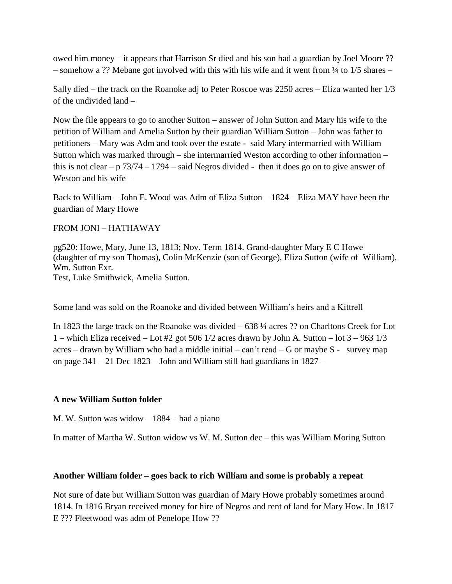owed him money – it appears that Harrison Sr died and his son had a guardian by Joel Moore ?? – somehow a ?? Mebane got involved with this with his wife and it went from  $\frac{1}{4}$  to 1/5 shares –

Sally died – the track on the Roanoke adj to Peter Roscoe was 2250 acres – Eliza wanted her 1/3 of the undivided land –

Now the file appears to go to another Sutton – answer of John Sutton and Mary his wife to the petition of William and Amelia Sutton by their guardian William Sutton – John was father to petitioners – Mary was Adm and took over the estate - said Mary intermarried with William Sutton which was marked through – she intermarried Weston according to other information – this is not clear – p  $73/74 - 1794$  – said Negros divided - then it does go on to give answer of Weston and his wife –

Back to William – John E. Wood was Adm of Eliza Sutton – 1824 – Eliza MAY have been the guardian of Mary Howe

#### FROM JONI – HATHAWAY

pg520: Howe, Mary, June 13, 1813; Nov. Term 1814. Grand-daughter Mary E C Howe (daughter of my son Thomas), Colin McKenzie (son of George), Eliza Sutton (wife of William), Wm. Sutton Exr. Test, Luke Smithwick, Amelia Sutton.

Some land was sold on the Roanoke and divided between William's heirs and a Kittrell

In 1823 the large track on the Roanoke was divided – 638 ¼ acres ?? on Charltons Creek for Lot 1 – which Eliza received – Lot #2 got 506  $1/2$  acres drawn by John A. Sutton – lot  $3 - 963$   $1/3$ acres – drawn by William who had a middle initial – can't read – G or maybe  $S -$  survey map on page  $341 - 21$  Dec  $1823 -$  John and William still had guardians in  $1827 -$ 

#### **A new William Sutton folder**

M. W. Sutton was widow – 1884 – had a piano

In matter of Martha W. Sutton widow vs W. M. Sutton dec – this was William Moring Sutton

#### **Another William folder – goes back to rich William and some is probably a repeat**

Not sure of date but William Sutton was guardian of Mary Howe probably sometimes around 1814. In 1816 Bryan received money for hire of Negros and rent of land for Mary How. In 1817 E ??? Fleetwood was adm of Penelope How ??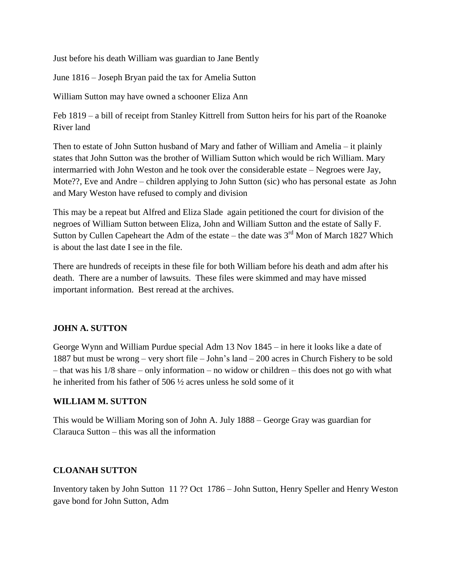Just before his death William was guardian to Jane Bently

June 1816 – Joseph Bryan paid the tax for Amelia Sutton

William Sutton may have owned a schooner Eliza Ann

Feb 1819 – a bill of receipt from Stanley Kittrell from Sutton heirs for his part of the Roanoke River land

Then to estate of John Sutton husband of Mary and father of William and Amelia – it plainly states that John Sutton was the brother of William Sutton which would be rich William. Mary intermarried with John Weston and he took over the considerable estate – Negroes were Jay, Mote??, Eve and Andre – children applying to John Sutton (sic) who has personal estate as John and Mary Weston have refused to comply and division

This may be a repeat but Alfred and Eliza Slade again petitioned the court for division of the negroes of William Sutton between Eliza, John and William Sutton and the estate of Sally F. Sutton by Cullen Capeheart the Adm of the estate – the date was  $3<sup>rd</sup>$  Mon of March 1827 Which is about the last date I see in the file.

There are hundreds of receipts in these file for both William before his death and adm after his death. There are a number of lawsuits. These files were skimmed and may have missed important information. Best reread at the archives.

## **JOHN A. SUTTON**

George Wynn and William Purdue special Adm 13 Nov 1845 – in here it looks like a date of 1887 but must be wrong – very short file – John's land – 200 acres in Church Fishery to be sold – that was his 1/8 share – only information – no widow or children – this does not go with what he inherited from his father of 506 ½ acres unless he sold some of it

## **WILLIAM M. SUTTON**

This would be William Moring son of John A. July 1888 – George Gray was guardian for Clarauca Sutton – this was all the information

## **CLOANAH SUTTON**

Inventory taken by John Sutton 11 ?? Oct 1786 – John Sutton, Henry Speller and Henry Weston gave bond for John Sutton, Adm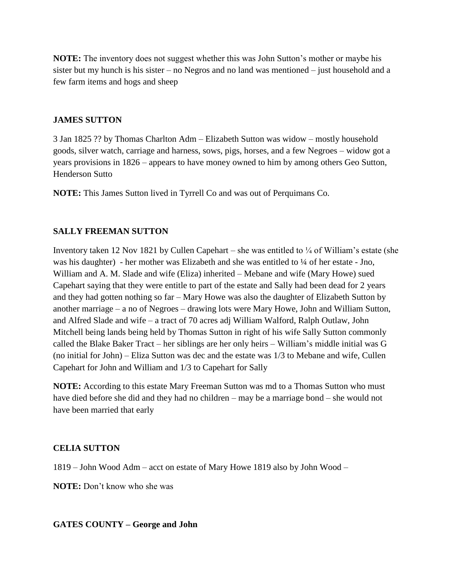**NOTE:** The inventory does not suggest whether this was John Sutton's mother or maybe his sister but my hunch is his sister – no Negros and no land was mentioned – just household and a few farm items and hogs and sheep

#### **JAMES SUTTON**

3 Jan 1825 ?? by Thomas Charlton Adm – Elizabeth Sutton was widow – mostly household goods, silver watch, carriage and harness, sows, pigs, horses, and a few Negroes – widow got a years provisions in 1826 – appears to have money owned to him by among others Geo Sutton, Henderson Sutto

**NOTE:** This James Sutton lived in Tyrrell Co and was out of Perquimans Co.

## **SALLY FREEMAN SUTTON**

Inventory taken 12 Nov 1821 by Cullen Capehart – she was entitled to  $\frac{1}{4}$  of William's estate (she was his daughter) - her mother was Elizabeth and she was entitled to ¼ of her estate - Jno, William and A. M. Slade and wife (Eliza) inherited – Mebane and wife (Mary Howe) sued Capehart saying that they were entitle to part of the estate and Sally had been dead for 2 years and they had gotten nothing so far – Mary Howe was also the daughter of Elizabeth Sutton by another marriage – a no of Negroes – drawing lots were Mary Howe, John and William Sutton, and Alfred Slade and wife – a tract of 70 acres adj William Walford, Ralph Outlaw, John Mitchell being lands being held by Thomas Sutton in right of his wife Sally Sutton commonly called the Blake Baker Tract – her siblings are her only heirs – William's middle initial was G (no initial for John) – Eliza Sutton was dec and the estate was 1/3 to Mebane and wife, Cullen Capehart for John and William and 1/3 to Capehart for Sally

**NOTE:** According to this estate Mary Freeman Sutton was md to a Thomas Sutton who must have died before she did and they had no children – may be a marriage bond – she would not have been married that early

## **CELIA SUTTON**

1819 – John Wood Adm – acct on estate of Mary Howe 1819 also by John Wood –

**NOTE:** Don't know who she was

**GATES COUNTY – George and John**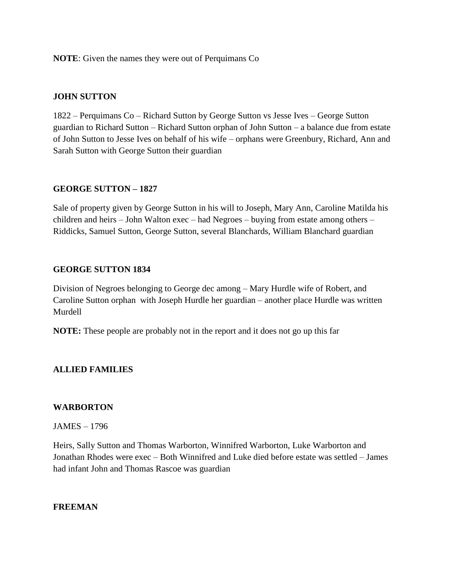**NOTE**: Given the names they were out of Perquimans Co

#### **JOHN SUTTON**

1822 – Perquimans Co – Richard Sutton by George Sutton vs Jesse Ives – George Sutton guardian to Richard Sutton – Richard Sutton orphan of John Sutton – a balance due from estate of John Sutton to Jesse Ives on behalf of his wife – orphans were Greenbury, Richard, Ann and Sarah Sutton with George Sutton their guardian

## **GEORGE SUTTON – 1827**

Sale of property given by George Sutton in his will to Joseph, Mary Ann, Caroline Matilda his children and heirs – John Walton exec – had Negroes – buying from estate among others – Riddicks, Samuel Sutton, George Sutton, several Blanchards, William Blanchard guardian

#### **GEORGE SUTTON 1834**

Division of Negroes belonging to George dec among – Mary Hurdle wife of Robert, and Caroline Sutton orphan with Joseph Hurdle her guardian – another place Hurdle was written Murdell

**NOTE:** These people are probably not in the report and it does not go up this far

## **ALLIED FAMILIES**

#### **WARBORTON**

#### JAMES – 1796

Heirs, Sally Sutton and Thomas Warborton, Winnifred Warborton, Luke Warborton and Jonathan Rhodes were exec – Both Winnifred and Luke died before estate was settled – James had infant John and Thomas Rascoe was guardian

#### **FREEMAN**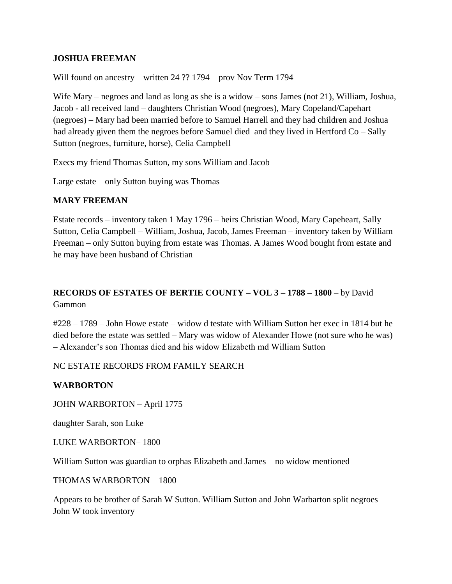#### **JOSHUA FREEMAN**

Will found on ancestry – written 24 ?? 1794 – prov Nov Term 1794

Wife Mary – negroes and land as long as she is a widow – sons James (not 21), William, Joshua, Jacob - all received land – daughters Christian Wood (negroes), Mary Copeland/Capehart (negroes) – Mary had been married before to Samuel Harrell and they had children and Joshua had already given them the negroes before Samuel died and they lived in Hertford Co – Sally Sutton (negroes, furniture, horse), Celia Campbell

Execs my friend Thomas Sutton, my sons William and Jacob

Large estate – only Sutton buying was Thomas

#### **MARY FREEMAN**

Estate records – inventory taken 1 May 1796 – heirs Christian Wood, Mary Capeheart, Sally Sutton, Celia Campbell – William, Joshua, Jacob, James Freeman – inventory taken by William Freeman – only Sutton buying from estate was Thomas. A James Wood bought from estate and he may have been husband of Christian

## **RECORDS OF ESTATES OF BERTIE COUNTY – VOL 3 – 1788 – 1800** – by David Gammon

#228 – 1789 – John Howe estate – widow d testate with William Sutton her exec in 1814 but he died before the estate was settled – Mary was widow of Alexander Howe (not sure who he was) – Alexander's son Thomas died and his widow Elizabeth md William Sutton

#### NC ESTATE RECORDS FROM FAMILY SEARCH

## **WARBORTON**

JOHN WARBORTON – April 1775

daughter Sarah, son Luke

LUKE WARBORTON– 1800

William Sutton was guardian to orphas Elizabeth and James – no widow mentioned

THOMAS WARBORTON – 1800

Appears to be brother of Sarah W Sutton. William Sutton and John Warbarton split negroes – John W took inventory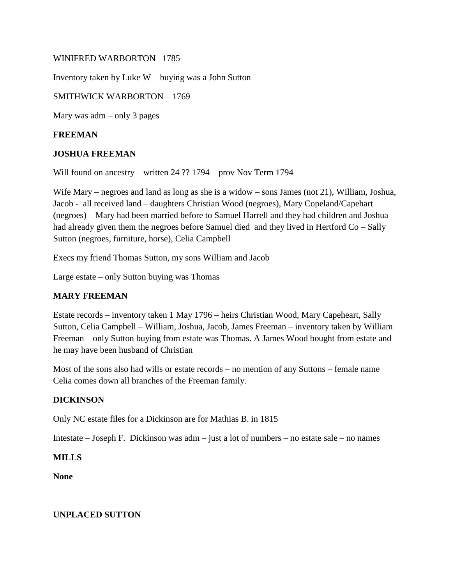#### WINIFRED WARBORTON– 1785

Inventory taken by Luke W – buying was a John Sutton

#### SMITHWICK WARBORTON – 1769

Mary was adm – only 3 pages

#### **FREEMAN**

#### **JOSHUA FREEMAN**

Will found on ancestry – written 24 ?? 1794 – prov Nov Term 1794

Wife Mary – negroes and land as long as she is a widow – sons James (not 21), William, Joshua, Jacob - all received land – daughters Christian Wood (negroes), Mary Copeland/Capehart (negroes) – Mary had been married before to Samuel Harrell and they had children and Joshua had already given them the negroes before Samuel died and they lived in Hertford Co – Sally Sutton (negroes, furniture, horse), Celia Campbell

Execs my friend Thomas Sutton, my sons William and Jacob

Large estate – only Sutton buying was Thomas

#### **MARY FREEMAN**

Estate records – inventory taken 1 May 1796 – heirs Christian Wood, Mary Capeheart, Sally Sutton, Celia Campbell – William, Joshua, Jacob, James Freeman – inventory taken by William Freeman – only Sutton buying from estate was Thomas. A James Wood bought from estate and he may have been husband of Christian

Most of the sons also had wills or estate records – no mention of any Suttons – female name Celia comes down all branches of the Freeman family.

## **DICKINSON**

Only NC estate files for a Dickinson are for Mathias B. in 1815

Intestate – Joseph F. Dickinson was adm – just a lot of numbers – no estate sale – no names

## **MILLS**

**None**

#### **UNPLACED SUTTON**